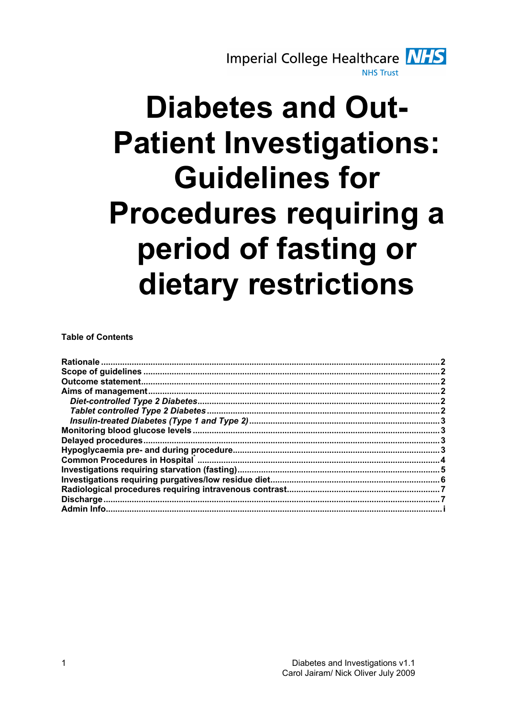

# **Diabetes and Out-Patient Investigations: Guidelines for Procedures requiring a** period of fasting or dietary restrictions

**Table of Contents** 

|                                                                                                                                 | 2   |
|---------------------------------------------------------------------------------------------------------------------------------|-----|
|                                                                                                                                 |     |
|                                                                                                                                 |     |
|                                                                                                                                 | . 3 |
|                                                                                                                                 |     |
|                                                                                                                                 |     |
| Common Procedures in Hospital <b>Marting and Community Common Procedures</b> in Hospital <b>Marting and Community Community</b> |     |
|                                                                                                                                 |     |
|                                                                                                                                 |     |
|                                                                                                                                 |     |
|                                                                                                                                 |     |
|                                                                                                                                 |     |
|                                                                                                                                 |     |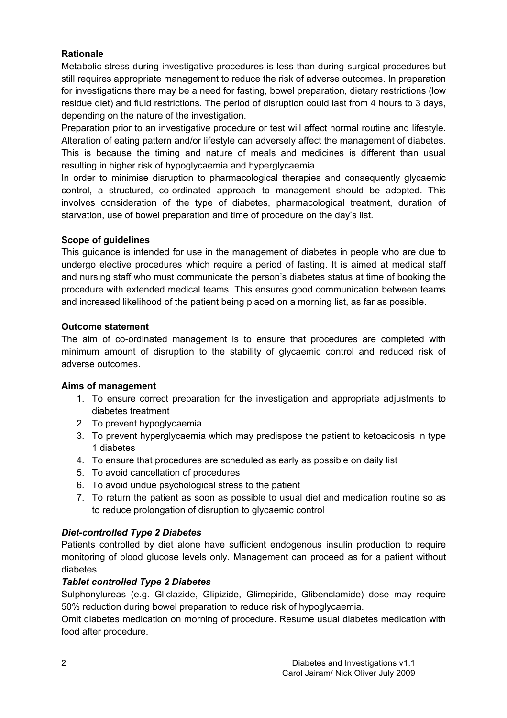## Rationale

Metabolic stress during investigative procedures is less than during surgical procedures but still requires appropriate management to reduce the risk of adverse outcomes. In preparation for investigations there may be a need for fasting, bowel preparation, dietary restrictions (low residue diet) and fluid restrictions. The period of disruption could last from 4 hours to 3 days, depending on the nature of the investigation.

Preparation prior to an investigative procedure or test will affect normal routine and lifestyle. Alteration of eating pattern and/or lifestyle can adversely affect the management of diabetes. This is because the timing and nature of meals and medicines is different than usual resulting in higher risk of hypoglycaemia and hyperglycaemia.

In order to minimise disruption to pharmacological therapies and consequently glycaemic control, a structured, co-ordinated approach to management should be adopted. This involves consideration of the type of diabetes, pharmacological treatment, duration of starvation, use of bowel preparation and time of procedure on the day's list.

## Scope of guidelines

This guidance is intended for use in the management of diabetes in people who are due to undergo elective procedures which require a period of fasting. It is aimed at medical staff and nursing staff who must communicate the person's diabetes status at time of booking the procedure with extended medical teams. This ensures good communication between teams and increased likelihood of the patient being placed on a morning list, as far as possible.

## Outcome statement

The aim of co-ordinated management is to ensure that procedures are completed with minimum amount of disruption to the stability of glycaemic control and reduced risk of adverse outcomes.

## Aims of management

- 1. To ensure correct preparation for the investigation and appropriate adjustments to diabetes treatment
- 2. To prevent hypoglycaemia
- 3. To prevent hyperglycaemia which may predispose the patient to ketoacidosis in type 1 diabetes
- 4. To ensure that procedures are scheduled as early as possible on daily list
- 5. To avoid cancellation of procedures
- 6. To avoid undue psychological stress to the patient
- 7. To return the patient as soon as possible to usual diet and medication routine so as to reduce prolongation of disruption to glycaemic control

## Diet-controlled Type 2 Diabetes

Patients controlled by diet alone have sufficient endogenous insulin production to require monitoring of blood glucose levels only. Management can proceed as for a patient without diabetes.

## Tablet controlled Type 2 Diabetes

Sulphonylureas (e.g. Gliclazide, Glipizide, Glimepiride, Glibenclamide) dose may require 50% reduction during bowel preparation to reduce risk of hypoglycaemia.

Omit diabetes medication on morning of procedure. Resume usual diabetes medication with food after procedure.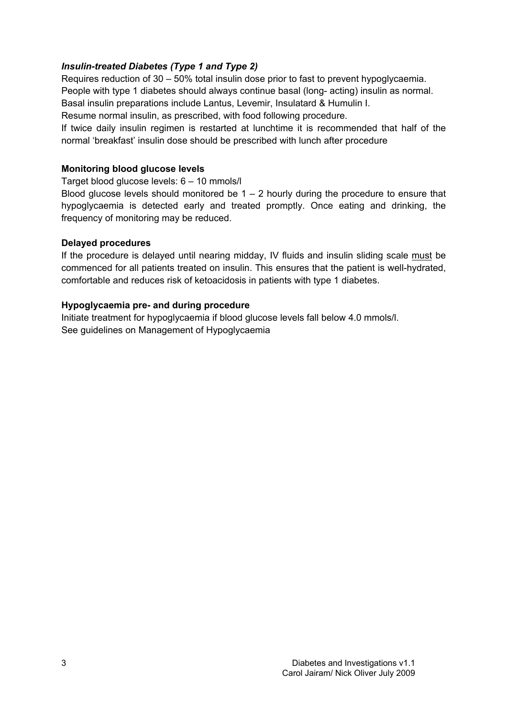## Insulin-treated Diabetes (Type 1 and Type 2)

Requires reduction of 30 – 50% total insulin dose prior to fast to prevent hypoglycaemia. People with type 1 diabetes should always continue basal (long- acting) insulin as normal. Basal insulin preparations include Lantus, Levemir, Insulatard & Humulin I. Resume normal insulin, as prescribed, with food following procedure.

If twice daily insulin regimen is restarted at lunchtime it is recommended that half of the normal 'breakfast' insulin dose should be prescribed with lunch after procedure

## Monitoring blood glucose levels

Target blood glucose levels: 6 – 10 mmols/l

Blood glucose levels should monitored be  $1 - 2$  hourly during the procedure to ensure that hypoglycaemia is detected early and treated promptly. Once eating and drinking, the frequency of monitoring may be reduced.

## Delayed procedures

If the procedure is delayed until nearing midday, IV fluids and insulin sliding scale must be commenced for all patients treated on insulin. This ensures that the patient is well-hydrated, comfortable and reduces risk of ketoacidosis in patients with type 1 diabetes.

## Hypoglycaemia pre- and during procedure

Initiate treatment for hypoglycaemia if blood glucose levels fall below 4.0 mmols/l. See guidelines on Management of Hypoglycaemia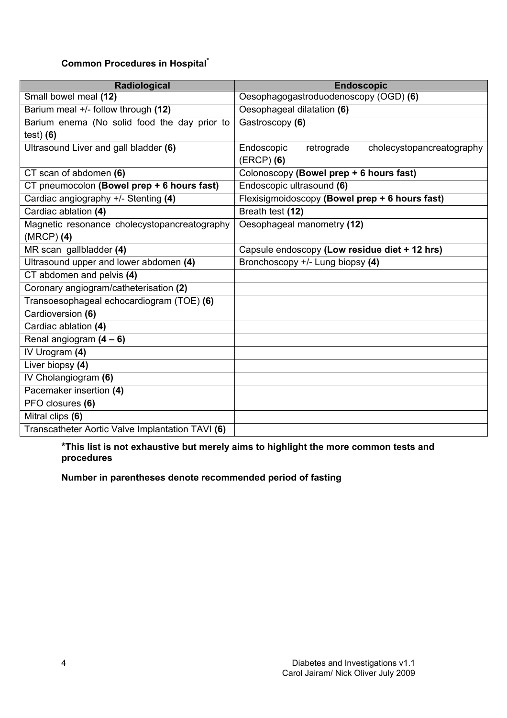# Common Procedures in Hospital\*

| Radiological                                     | <b>Endoscopic</b>                                     |
|--------------------------------------------------|-------------------------------------------------------|
| Small bowel meal (12)                            | Oesophagogastroduodenoscopy (OGD) (6)                 |
| Barium meal +/- follow through (12)              | Oesophageal dilatation (6)                            |
| Barium enema (No solid food the day prior to     | Gastroscopy (6)                                       |
| $test)$ (6)                                      |                                                       |
| Ultrasound Liver and gall bladder (6)            | Endoscopic<br>retrograde<br>cholecystopancreatography |
|                                                  | $(ERCP)$ (6)                                          |
| CT scan of abdomen (6)                           | Colonoscopy (Bowel prep + 6 hours fast)               |
| CT pneumocolon (Bowel prep + 6 hours fast)       | Endoscopic ultrasound (6)                             |
| Cardiac angiography +/- Stenting (4)             | Flexisigmoidoscopy (Bowel prep + 6 hours fast)        |
| Cardiac ablation (4)                             | Breath test (12)                                      |
| Magnetic resonance cholecystopancreatography     | Oesophageal manometry (12)                            |
| $(MRCP)$ (4)                                     |                                                       |
| MR scan gallbladder (4)                          | Capsule endoscopy (Low residue diet + 12 hrs)         |
| Ultrasound upper and lower abdomen (4)           | Bronchoscopy +/- Lung biopsy (4)                      |
| CT abdomen and pelvis (4)                        |                                                       |
| Coronary angiogram/catheterisation (2)           |                                                       |
| Transoesophageal echocardiogram (TOE) (6)        |                                                       |
| Cardioversion (6)                                |                                                       |
| Cardiac ablation (4)                             |                                                       |
| Renal angiogram $(4 - 6)$                        |                                                       |
| IV Urogram (4)                                   |                                                       |
| Liver biopsy (4)                                 |                                                       |
| IV Cholangiogram (6)                             |                                                       |
| Pacemaker insertion (4)                          |                                                       |
| PFO closures (6)                                 |                                                       |
| Mitral clips (6)                                 |                                                       |
| Transcatheter Aortic Valve Implantation TAVI (6) |                                                       |

\*This list is not exhaustive but merely aims to highlight the more common tests and procedures

Number in parentheses denote recommended period of fasting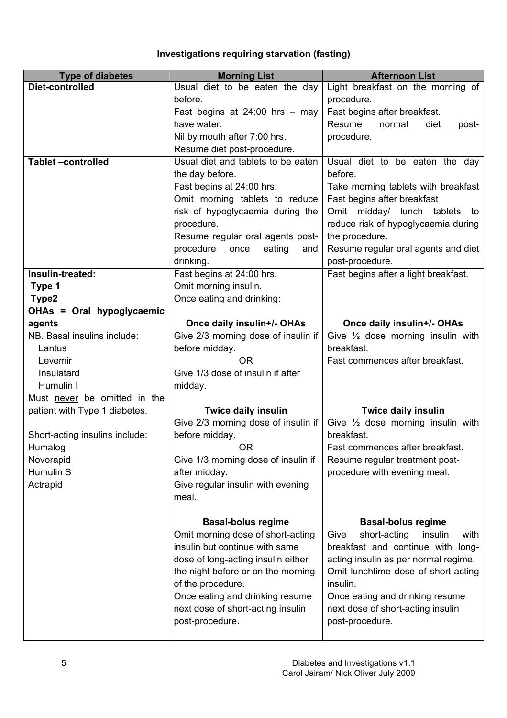# Investigations requiring starvation (fasting)

| <b>Type of diabetes</b>        | <b>Morning List</b>                                                    | <b>Afternoon List</b>                                      |
|--------------------------------|------------------------------------------------------------------------|------------------------------------------------------------|
| Diet-controlled                | Usual diet to be eaten the day                                         | Light breakfast on the morning of                          |
|                                | before.                                                                | procedure.                                                 |
|                                | Fast begins at $24:00$ hrs - may                                       | Fast begins after breakfast.                               |
|                                | have water.                                                            | Resume<br>normal<br>diet<br>post-                          |
|                                | Nil by mouth after 7:00 hrs.                                           | procedure.                                                 |
|                                | Resume diet post-procedure.                                            |                                                            |
| <b>Tablet-controlled</b>       | Usual diet and tablets to be eaten                                     | Usual diet to be eaten the day                             |
|                                | the day before.                                                        | before.                                                    |
|                                | Fast begins at 24:00 hrs.                                              | Take morning tablets with breakfast                        |
|                                | Omit morning tablets to reduce                                         | Fast begins after breakfast                                |
|                                | risk of hypoglycaemia during the                                       | Omit midday/ lunch tablets<br>to                           |
|                                | procedure.                                                             | reduce risk of hypoglycaemia during                        |
|                                | Resume regular oral agents post-<br>procedure<br>eating<br>once<br>and | the procedure.<br>Resume regular oral agents and diet      |
|                                | drinking.                                                              | post-procedure.                                            |
| Insulin-treated:               | Fast begins at 24:00 hrs.                                              | Fast begins after a light breakfast.                       |
| Type 1                         | Omit morning insulin.                                                  |                                                            |
| Type2                          | Once eating and drinking:                                              |                                                            |
| OHAs = Oral hypoglycaemic      |                                                                        |                                                            |
| agents                         | Once daily insulin+/- OHAs                                             | Once daily insulin+/- OHAs                                 |
| NB. Basal insulins include:    | Give 2/3 morning dose of insulin if                                    | Give $\frac{1}{2}$ dose morning insulin with               |
| Lantus                         | before midday.                                                         | breakfast.                                                 |
| Levemir                        | <b>OR</b>                                                              | Fast commences after breakfast.                            |
| Insulatard                     | Give 1/3 dose of insulin if after                                      |                                                            |
| Humulin I                      | midday.                                                                |                                                            |
| Must never be omitted in the   |                                                                        |                                                            |
| patient with Type 1 diabetes.  | <b>Twice daily insulin</b>                                             | Twice daily insulin                                        |
| Short-acting insulins include: | Give 2/3 morning dose of insulin if                                    | Give $\frac{1}{2}$ dose morning insulin with<br>breakfast. |
| Humalog                        | before midday.<br>OR.                                                  | Fast commences after breakfast.                            |
| Novorapid                      | Give 1/3 morning dose of insulin if                                    | Resume regular treatment post-                             |
| Humulin S                      | after midday.                                                          | procedure with evening meal.                               |
| Actrapid                       | Give regular insulin with evening                                      |                                                            |
|                                | meal.                                                                  |                                                            |
|                                |                                                                        |                                                            |
|                                | <b>Basal-bolus regime</b>                                              | <b>Basal-bolus regime</b>                                  |
|                                | Omit morning dose of short-acting                                      | short-acting<br>Give<br>insulin<br>with                    |
|                                | insulin but continue with same                                         | breakfast and continue with long-                          |
|                                | dose of long-acting insulin either                                     | acting insulin as per normal regime.                       |
|                                | the night before or on the morning                                     | Omit lunchtime dose of short-acting                        |
|                                | of the procedure.                                                      | insulin.                                                   |
|                                | Once eating and drinking resume                                        | Once eating and drinking resume                            |
|                                | next dose of short-acting insulin                                      | next dose of short-acting insulin                          |
|                                | post-procedure.                                                        | post-procedure.                                            |
|                                |                                                                        |                                                            |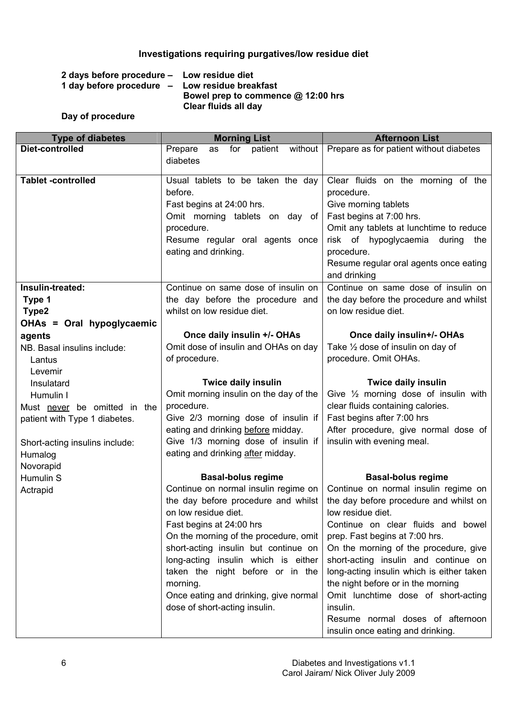# Investigations requiring purgatives/low residue diet

| 2 days before procedure - Low residue diet     |                                    |
|------------------------------------------------|------------------------------------|
| 1 day before procedure - Low residue breakfast |                                    |
|                                                | Bowel prep to commence @ 12:00 hrs |
|                                                | Clear fluids all day               |

## Day of procedure

| <b>Type of diabetes</b>        | <b>Morning List</b>                                                                                                                                                                                                                                                                                | <b>Afternoon List</b>                                                                                                                                                                                                                                                                                                                                                                     |
|--------------------------------|----------------------------------------------------------------------------------------------------------------------------------------------------------------------------------------------------------------------------------------------------------------------------------------------------|-------------------------------------------------------------------------------------------------------------------------------------------------------------------------------------------------------------------------------------------------------------------------------------------------------------------------------------------------------------------------------------------|
| Diet-controlled                | without<br>Prepare<br>for<br>patient<br>as                                                                                                                                                                                                                                                         | Prepare as for patient without diabetes                                                                                                                                                                                                                                                                                                                                                   |
|                                | diabetes                                                                                                                                                                                                                                                                                           |                                                                                                                                                                                                                                                                                                                                                                                           |
|                                |                                                                                                                                                                                                                                                                                                    |                                                                                                                                                                                                                                                                                                                                                                                           |
| <b>Tablet -controlled</b>      | Usual tablets to be taken the day<br>before.                                                                                                                                                                                                                                                       | Clear fluids on the morning of the                                                                                                                                                                                                                                                                                                                                                        |
|                                |                                                                                                                                                                                                                                                                                                    | procedure.                                                                                                                                                                                                                                                                                                                                                                                |
|                                | Fast begins at 24:00 hrs.<br>Omit morning tablets on day of                                                                                                                                                                                                                                        | Give morning tablets<br>Fast begins at 7:00 hrs.                                                                                                                                                                                                                                                                                                                                          |
|                                | procedure.                                                                                                                                                                                                                                                                                         | Omit any tablets at lunchtime to reduce                                                                                                                                                                                                                                                                                                                                                   |
|                                | Resume regular oral agents once                                                                                                                                                                                                                                                                    | risk of hypoglycaemia during<br>the                                                                                                                                                                                                                                                                                                                                                       |
|                                | eating and drinking.                                                                                                                                                                                                                                                                               | procedure.                                                                                                                                                                                                                                                                                                                                                                                |
|                                |                                                                                                                                                                                                                                                                                                    | Resume regular oral agents once eating                                                                                                                                                                                                                                                                                                                                                    |
|                                |                                                                                                                                                                                                                                                                                                    | and drinking                                                                                                                                                                                                                                                                                                                                                                              |
| Insulin-treated:               | Continue on same dose of insulin on                                                                                                                                                                                                                                                                | Continue on same dose of insulin on                                                                                                                                                                                                                                                                                                                                                       |
| Type 1                         | the day before the procedure and                                                                                                                                                                                                                                                                   | the day before the procedure and whilst                                                                                                                                                                                                                                                                                                                                                   |
| Type2                          | whilst on low residue diet.                                                                                                                                                                                                                                                                        | on low residue diet.                                                                                                                                                                                                                                                                                                                                                                      |
| OHAs = Oral hypoglycaemic      |                                                                                                                                                                                                                                                                                                    |                                                                                                                                                                                                                                                                                                                                                                                           |
| agents                         | Once daily insulin +/- OHAs                                                                                                                                                                                                                                                                        | Once daily insulin+/- OHAs                                                                                                                                                                                                                                                                                                                                                                |
| NB. Basal insulins include:    | Omit dose of insulin and OHAs on day                                                                                                                                                                                                                                                               | Take 1/2 dose of insulin on day of                                                                                                                                                                                                                                                                                                                                                        |
| Lantus                         | of procedure.                                                                                                                                                                                                                                                                                      | procedure. Omit OHAs.                                                                                                                                                                                                                                                                                                                                                                     |
| Levemir                        |                                                                                                                                                                                                                                                                                                    |                                                                                                                                                                                                                                                                                                                                                                                           |
| Insulatard                     | <b>Twice daily insulin</b>                                                                                                                                                                                                                                                                         | <b>Twice daily insulin</b>                                                                                                                                                                                                                                                                                                                                                                |
| Humulin I                      | Omit morning insulin on the day of the                                                                                                                                                                                                                                                             | Give $\frac{1}{2}$ morning dose of insulin with                                                                                                                                                                                                                                                                                                                                           |
| Must never be omitted in the   | procedure.                                                                                                                                                                                                                                                                                         | clear fluids containing calories.                                                                                                                                                                                                                                                                                                                                                         |
| patient with Type 1 diabetes.  | Give 2/3 morning dose of insulin if                                                                                                                                                                                                                                                                | Fast begins after 7:00 hrs                                                                                                                                                                                                                                                                                                                                                                |
|                                | eating and drinking before midday.                                                                                                                                                                                                                                                                 | After procedure, give normal dose of                                                                                                                                                                                                                                                                                                                                                      |
| Short-acting insulins include: | Give 1/3 morning dose of insulin if                                                                                                                                                                                                                                                                | insulin with evening meal.                                                                                                                                                                                                                                                                                                                                                                |
| Humalog                        | eating and drinking after midday.                                                                                                                                                                                                                                                                  |                                                                                                                                                                                                                                                                                                                                                                                           |
| Novorapid                      |                                                                                                                                                                                                                                                                                                    |                                                                                                                                                                                                                                                                                                                                                                                           |
| Humulin S                      | <b>Basal-bolus regime</b>                                                                                                                                                                                                                                                                          | <b>Basal-bolus regime</b>                                                                                                                                                                                                                                                                                                                                                                 |
| Actrapid                       | Continue on normal insulin regime on                                                                                                                                                                                                                                                               | Continue on normal insulin regime on                                                                                                                                                                                                                                                                                                                                                      |
|                                | the day before procedure and whilst                                                                                                                                                                                                                                                                | the day before procedure and whilst on                                                                                                                                                                                                                                                                                                                                                    |
|                                |                                                                                                                                                                                                                                                                                                    |                                                                                                                                                                                                                                                                                                                                                                                           |
|                                |                                                                                                                                                                                                                                                                                                    |                                                                                                                                                                                                                                                                                                                                                                                           |
|                                |                                                                                                                                                                                                                                                                                                    |                                                                                                                                                                                                                                                                                                                                                                                           |
|                                |                                                                                                                                                                                                                                                                                                    |                                                                                                                                                                                                                                                                                                                                                                                           |
|                                |                                                                                                                                                                                                                                                                                                    |                                                                                                                                                                                                                                                                                                                                                                                           |
|                                |                                                                                                                                                                                                                                                                                                    |                                                                                                                                                                                                                                                                                                                                                                                           |
|                                |                                                                                                                                                                                                                                                                                                    |                                                                                                                                                                                                                                                                                                                                                                                           |
|                                |                                                                                                                                                                                                                                                                                                    |                                                                                                                                                                                                                                                                                                                                                                                           |
|                                |                                                                                                                                                                                                                                                                                                    |                                                                                                                                                                                                                                                                                                                                                                                           |
|                                |                                                                                                                                                                                                                                                                                                    |                                                                                                                                                                                                                                                                                                                                                                                           |
|                                | on low residue diet.<br>Fast begins at 24:00 hrs<br>On the morning of the procedure, omit<br>short-acting insulin but continue on<br>long-acting insulin which is either<br>taken the night before or in the<br>morning.<br>Once eating and drinking, give normal<br>dose of short-acting insulin. | low residue diet.<br>Continue on clear fluids and bowel<br>prep. Fast begins at 7:00 hrs.<br>On the morning of the procedure, give<br>short-acting insulin and continue on<br>long-acting insulin which is either taken<br>the night before or in the morning<br>Omit lunchtime dose of short-acting<br>insulin.<br>Resume normal doses of afternoon<br>insulin once eating and drinking. |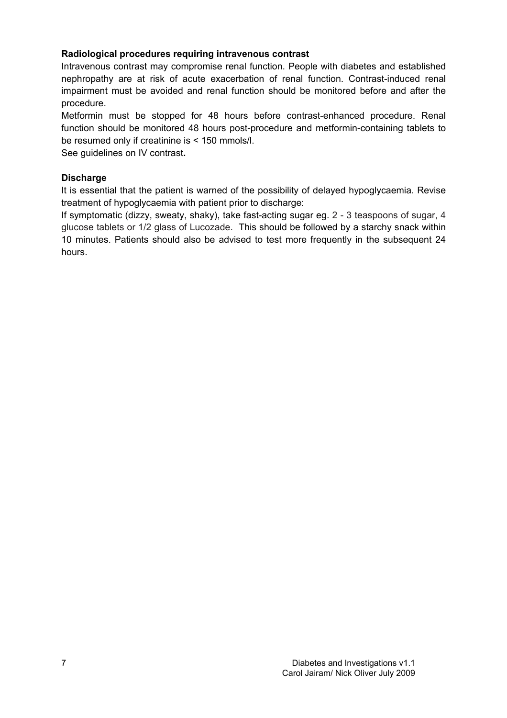## Radiological procedures requiring intravenous contrast

Intravenous contrast may compromise renal function. People with diabetes and established nephropathy are at risk of acute exacerbation of renal function. Contrast-induced renal impairment must be avoided and renal function should be monitored before and after the procedure.

Metformin must be stopped for 48 hours before contrast-enhanced procedure. Renal function should be monitored 48 hours post-procedure and metformin-containing tablets to be resumed only if creatinine is < 150 mmols/l.

See guidelines on IV contrast.

## **Discharge**

It is essential that the patient is warned of the possibility of delayed hypoglycaemia. Revise treatment of hypoglycaemia with patient prior to discharge:

If symptomatic (dizzy, sweaty, shaky), take fast-acting sugar eg. 2 - 3 teaspoons of sugar, 4 glucose tablets or 1/2 glass of Lucozade. This should be followed by a starchy snack within 10 minutes. Patients should also be advised to test more frequently in the subsequent 24 hours.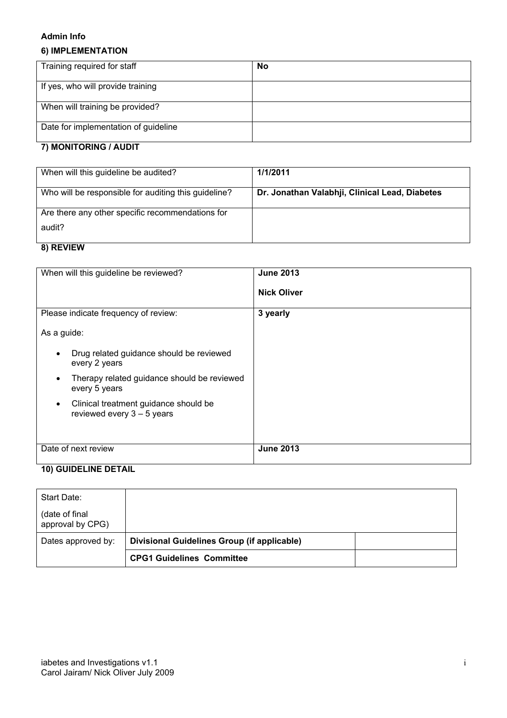#### Admin Info

## 6) IMPLEMENTATION

| Training required for staff          | No |
|--------------------------------------|----|
| If yes, who will provide training    |    |
| When will training be provided?      |    |
| Date for implementation of guideline |    |
| <b>7) MONITODING / ALIDIT</b>        |    |

## 7) MONITORING / AUDIT

| When will this guideline be audited?                 | 1/1/2011                                       |
|------------------------------------------------------|------------------------------------------------|
| Who will be responsible for auditing this guideline? | Dr. Jonathan Valabhji, Clinical Lead, Diabetes |
| Are there any other specific recommendations for     |                                                |
| audit?                                               |                                                |
| $\mathbf{a}$ DEVIEM                                  |                                                |

## 8) REVIEW

| When will this guideline be reviewed?                                              | <b>June 2013</b><br><b>Nick Oliver</b> |
|------------------------------------------------------------------------------------|----------------------------------------|
| Please indicate frequency of review:                                               | 3 yearly                               |
| As a guide:                                                                        |                                        |
| Drug related guidance should be reviewed<br>every 2 years                          |                                        |
| Therapy related guidance should be reviewed<br>$\epsilon$<br>every 5 years         |                                        |
| Clinical treatment guidance should be<br>$\bullet$<br>reviewed every $3 - 5$ years |                                        |
| Date of next review                                                                | <b>June 2013</b>                       |

# 10) GUIDELINE DETAIL

| Start Date:                         |                                             |  |
|-------------------------------------|---------------------------------------------|--|
| (date of final)<br>approval by CPG) |                                             |  |
| Dates approved by:                  | Divisional Guidelines Group (if applicable) |  |
|                                     | <b>CPG1 Guidelines Committee</b>            |  |